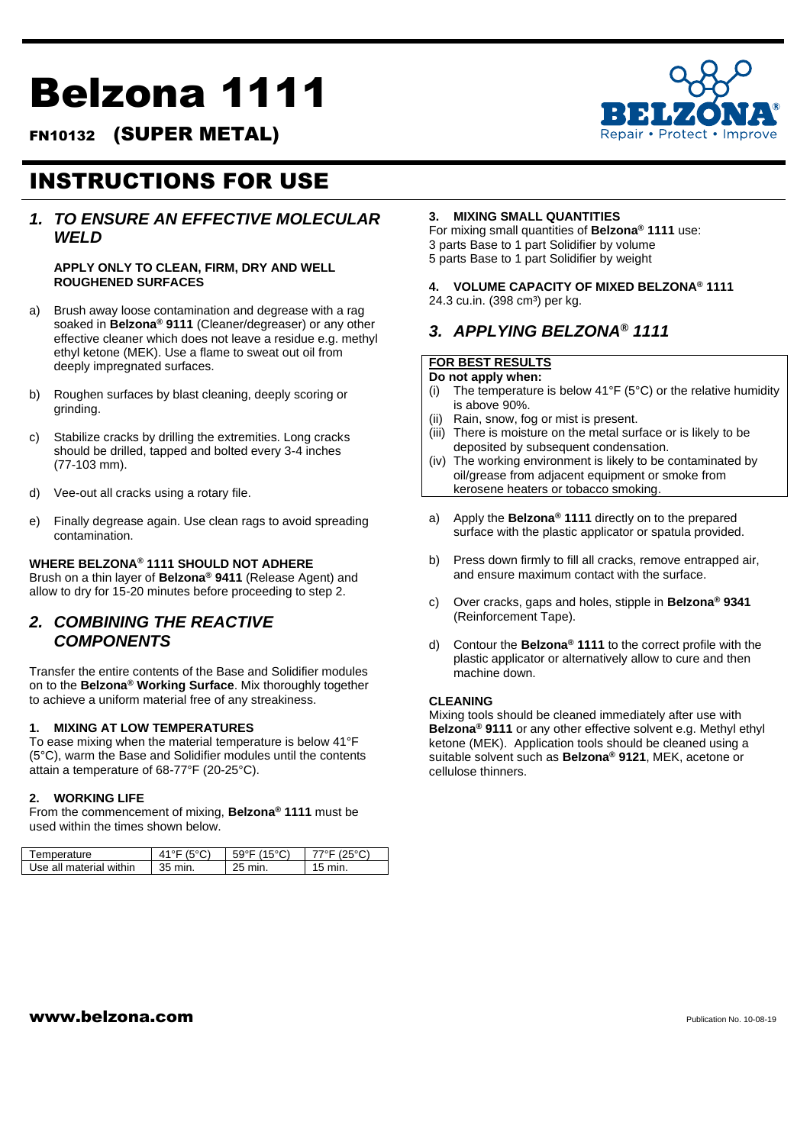# Belzona 1111

FN10132 (SUPER METAL)



# INSTRUCTIONS FOR USE

# *1. TO ENSURE AN EFFECTIVE MOLECULAR WELD*

#### **APPLY ONLY TO CLEAN, FIRM, DRY AND WELL ROUGHENED SURFACES**

- a) Brush away loose contamination and degrease with a rag soaked in **Belzona® 9111** (Cleaner/degreaser) or any other effective cleaner which does not leave a residue e.g. methyl ethyl ketone (MEK). Use a flame to sweat out oil from deeply impregnated surfaces.
- b) Roughen surfaces by blast cleaning, deeply scoring or grinding.
- c) Stabilize cracks by drilling the extremities. Long cracks should be drilled, tapped and bolted every 3-4 inches (77-103 mm).
- d) Vee-out all cracks using a rotary file.
- e) Finally degrease again. Use clean rags to avoid spreading contamination.

# **WHERE BELZONA® 1111 SHOULD NOT ADHERE**

Brush on a thin layer of **Belzona® 9411** (Release Agent) and allow to dry for 15-20 minutes before proceeding to step 2.

# *2. COMBINING THE REACTIVE COMPONENTS*

Transfer the entire contents of the Base and Solidifier modules on to the **Belzona® Working Surface**. Mix thoroughly together to achieve a uniform material free of any streakiness.

#### **1. MIXING AT LOW TEMPERATURES**

To ease mixing when the material temperature is below 41°F (5°C), warm the Base and Solidifier modules until the contents attain a temperature of 68-77°F (20-25°C).

#### **2. WORKING LIFE**

From the commencement of mixing, **Belzona® 1111** must be used within the times shown below.

| Temperature             | (500)   | $59^{\circ}$ F (15 $^{\circ}$ C) | $77^{\circ}$ F (25°C) |
|-------------------------|---------|----------------------------------|-----------------------|
| Use all material within | 35 min. | 25 min.                          | $15 \text{ min}$ .    |

#### **3. MIXING SMALL QUANTITIES**

For mixing small quantities of **Belzona® 1111** use: 3 parts Base to 1 part Solidifier by volume 5 parts Base to 1 part Solidifier by weight

#### **4. VOLUME CAPACITY OF MIXED BELZONA® 1111** 24.3 cu.in. (398 cm<sup>3</sup>) per kg.

# *3. APPLYING BELZONA® 1111*

# **FOR BEST RESULTS**

**Do not apply when:**

- (i) The temperature is below 41°F (5°C) or the relative humidity is above 90%.
- (ii) Rain, snow, fog or mist is present.
- (iii) There is moisture on the metal surface or is likely to be deposited by subsequent condensation.
- (iv) The working environment is likely to be contaminated by oil/grease from adjacent equipment or smoke from kerosene heaters or tobacco smoking.
- a) Apply the **Belzona® 1111** directly on to the prepared surface with the plastic applicator or spatula provided.
- b) Press down firmly to fill all cracks, remove entrapped air, and ensure maximum contact with the surface.
- c) Over cracks, gaps and holes, stipple in **Belzona® 9341**  (Reinforcement Tape).
- d) Contour the **Belzona® 1111** to the correct profile with the plastic applicator or alternatively allow to cure and then machine down.

#### **CLEANING**

Mixing tools should be cleaned immediately after use with **Belzona® 9111** or any other effective solvent e.g. Methyl ethyl ketone (MEK). Application tools should be cleaned using a suitable solvent such as **Belzona® 9121**, MEK, acetone or cellulose thinners.